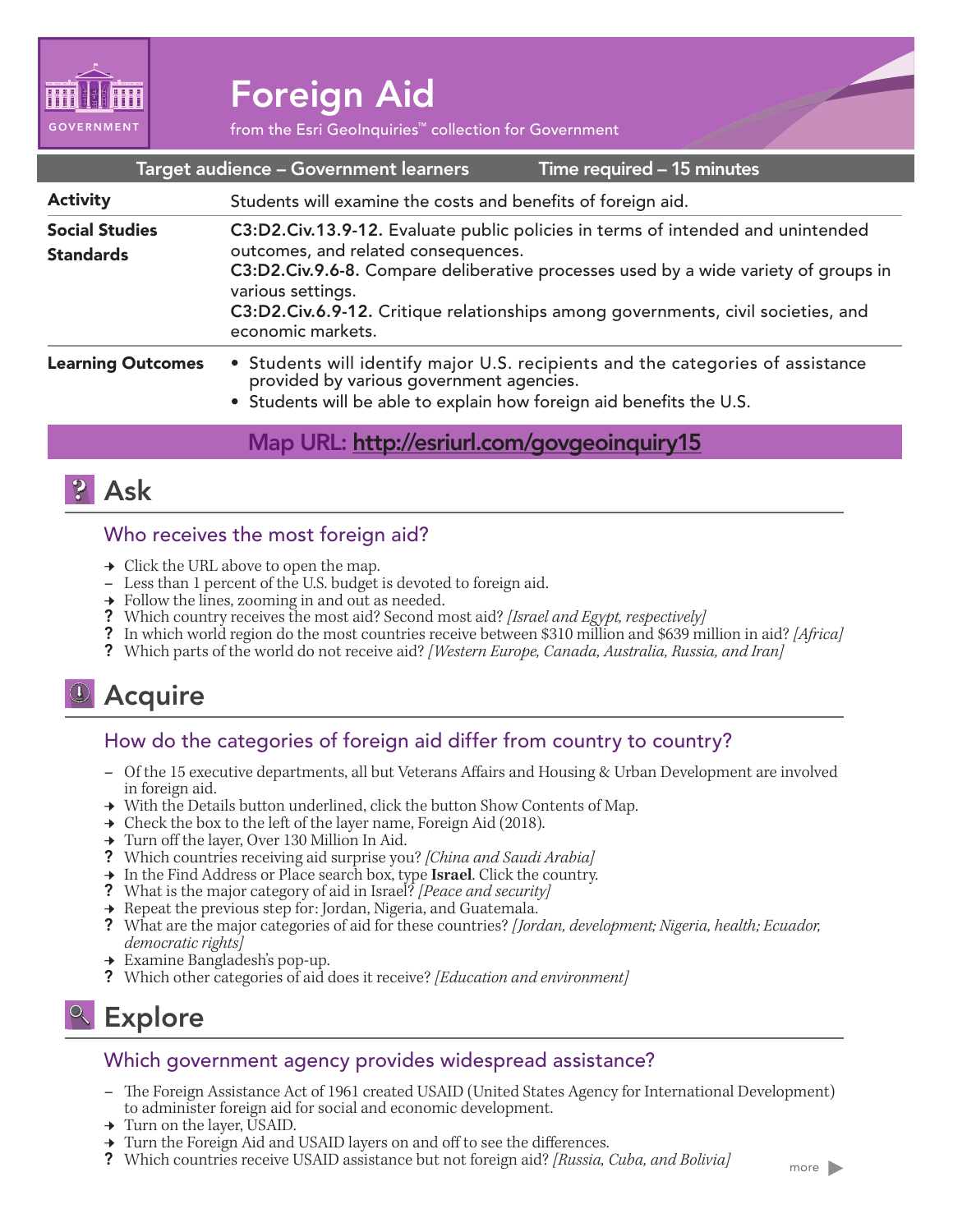

# Foreign Aid

from the Esri GeoInquiries™ collection for Government

| Target audience - Government learners | Time required - 15 minutes |
|---------------------------------------|----------------------------|
|                                       |                            |

| <b>Activity</b>                           | Students will examine the costs and benefits of foreign aid.                                                                                                                                                                                                                                                                                |  |
|-------------------------------------------|---------------------------------------------------------------------------------------------------------------------------------------------------------------------------------------------------------------------------------------------------------------------------------------------------------------------------------------------|--|
| <b>Social Studies</b><br><b>Standards</b> | C3:D2.Civ.13.9-12. Evaluate public policies in terms of intended and unintended<br>outcomes, and related consequences.<br>C3:D2.Civ.9.6-8. Compare deliberative processes used by a wide variety of groups in<br>various settings.<br>C3:D2.Civ.6.9-12. Critique relationships among governments, civil societies, and<br>economic markets. |  |
| <b>Learning Outcomes</b>                  | • Students will identify major U.S. recipients and the categories of assistance<br>provided by various government agencies.                                                                                                                                                                                                                 |  |

• Students will be able to explain how foreign aid benefits the U.S.

### Map URL: http://esriurl.com/govgeoinquiry15



#### Who receives the most foreign aid?

- 
- <sup>ʅ</sup> Click the URL above to open the map. **–** Less than 1 percent of the U.S. budget is devoted to foreign aid.
- $\rightarrow$  Follow the lines, zooming in and out as needed.
- ? Which country receives the most aid? Second most aid? *[Israel and Egypt, respectively]*
- ? In which world region do the most countries receive between \$310 million and \$639 million in aid? *[Africa]*
- ? Which parts of the world do not receive aid? *[Western Europe, Canada, Australia, Russia, and Iran]*

### Acquire

#### How do the categories of foreign aid differ from country to country?

- **–** Of the 15 executive departments, all but Veterans Affairs and Housing & Urban Development are involved in foreign aid.
- → With the Details button underlined, click the button Show Contents of Map.
- $\rightarrow$  Check the box to the left of the layer name, Foreign Aid (2018).
- ʅ Turn off the layer, Over 130 Million In Aid.
- ? Which countries receiving aid surprise you? *[China and Saudi Arabia]*
- ʅ In the Find Address or Place search box, type **Israel**. Click the country.
- ? What is the major category of aid in Israel? *[Peace and security]*
- $\rightarrow$  Repeat the previous step for: Jordan, Nigeria, and Guatemala.
- ? What are the major categories of aid for these countries? *[Jordan, development; Nigeria, health; Ecuador, democratic rights]*
- **→** Examine Bangladesh's pop-up.
- ? Which other categories of aid does it receive? *[Education and environment]*

## <sup>2</sup> Explore

#### Which government agency provides widespread assistance?

- **–** The Foreign Assistance Act of 1961 created USAID (United States Agency for International Development) to administer foreign aid for social and economic development.
- → Turn on the layer, USAID.
- → Turn the Foreign Aid and USAID layers on and off to see the differences.
- ? Which countries receive USAID assistance but not foreign aid? *[Russia, Cuba, and Bolivia]*